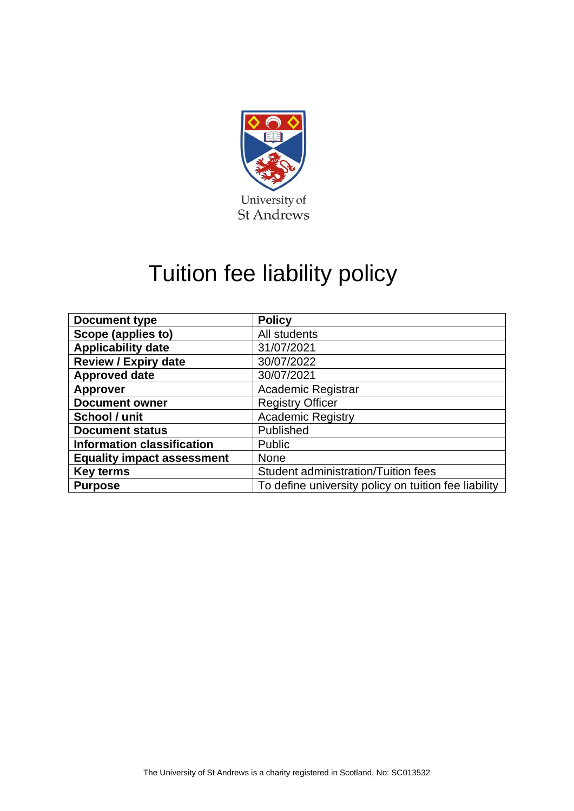

# Tuition fee liability policy

| <b>Document type</b>              | <b>Policy</b>                                        |  |  |
|-----------------------------------|------------------------------------------------------|--|--|
| Scope (applies to)                | All students                                         |  |  |
| <b>Applicability date</b>         | 31/07/2021                                           |  |  |
| <b>Review / Expiry date</b>       | 30/07/2022                                           |  |  |
| <b>Approved date</b>              | 30/07/2021                                           |  |  |
| <b>Approver</b>                   | Academic Registrar                                   |  |  |
| <b>Document owner</b>             | <b>Registry Officer</b>                              |  |  |
| School / unit                     | <b>Academic Registry</b>                             |  |  |
| <b>Document status</b>            | Published                                            |  |  |
| <b>Information classification</b> | Public                                               |  |  |
| <b>Equality impact assessment</b> | <b>None</b>                                          |  |  |
| <b>Key terms</b>                  | Student administration/Tuition fees                  |  |  |
| <b>Purpose</b>                    | To define university policy on tuition fee liability |  |  |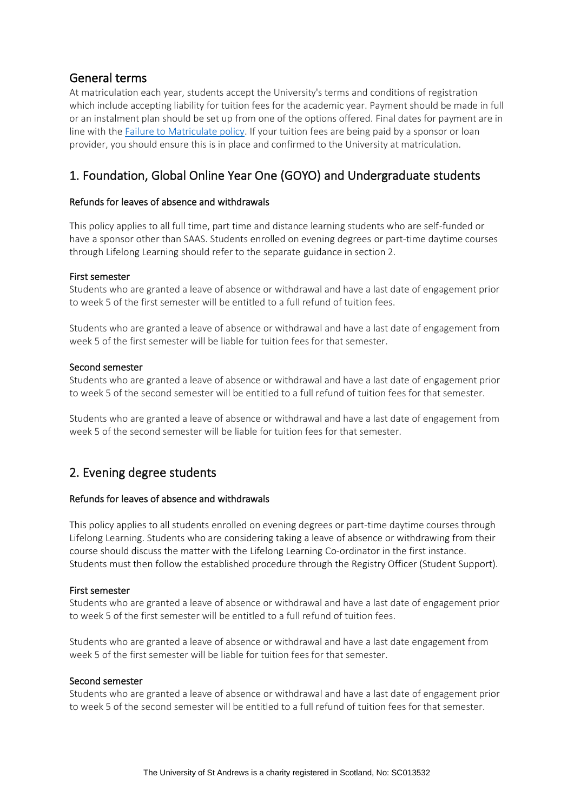# General terms

At matriculation each year, students accept the University's terms and conditions of registration which include accepting liability for tuition fees for the academic year. Payment should be made in full or an instalment plan should be set up from one of the options offered. Final dates for payment are in line with th[e Failure to Matriculate policy.](https://www.st-andrews.ac.uk/policy/student-administration-registration/failure-to-matriculate.pdf) If your tuition fees are being paid by a sponsor or loan provider, you should ensure this is in place and confirmed to the University at matriculation.

# 1. Foundation, Global Online Year One (GOYO) and Undergraduate students

# Refunds for leaves of absence and withdrawals

This policy applies to all full time, part time and distance learning students who are self-funded or have a sponsor other than SAAS. Students enrolled on evening degrees or part-time daytime courses through Lifelong Learning should refer to the separate guidance in section 2.

## First semester

Students who are granted a leave of absence or withdrawal and have a last date of engagement prior to week 5 of the first semester will be entitled to a full refund of tuition fees.

Students who are granted a leave of absence or withdrawal and have a last date of engagement from week 5 of the first semester will be liable for tuition fees for that semester.

## Second semester

Students who are granted a leave of absence or withdrawal and have a last date of engagement prior to week 5 of the second semester will be entitled to a full refund of tuition fees for that semester.

Students who are granted a leave of absence or withdrawal and have a last date of engagement from week 5 of the second semester will be liable for tuition fees for that semester.

# 2. Evening degree students

## Refunds for leaves of absence and withdrawals

This policy applies to all students enrolled on evening degrees or part-time daytime courses through Lifelong Learning. Students who are considering taking a leave of absence or withdrawing from their course should discuss the matter with the Lifelong Learning Co-ordinator in the first instance. Students must then follow the established procedure through the Registry Officer (Student Support).

## First semester

Students who are granted a leave of absence or withdrawal and have a last date of engagement prior to week 5 of the first semester will be entitled to a full refund of tuition fees.

Students who are granted a leave of absence or withdrawal and have a last date engagement from week 5 of the first semester will be liable for tuition fees for that semester.

#### Second semester

Students who are granted a leave of absence or withdrawal and have a last date of engagement prior to week 5 of the second semester will be entitled to a full refund of tuition fees for that semester.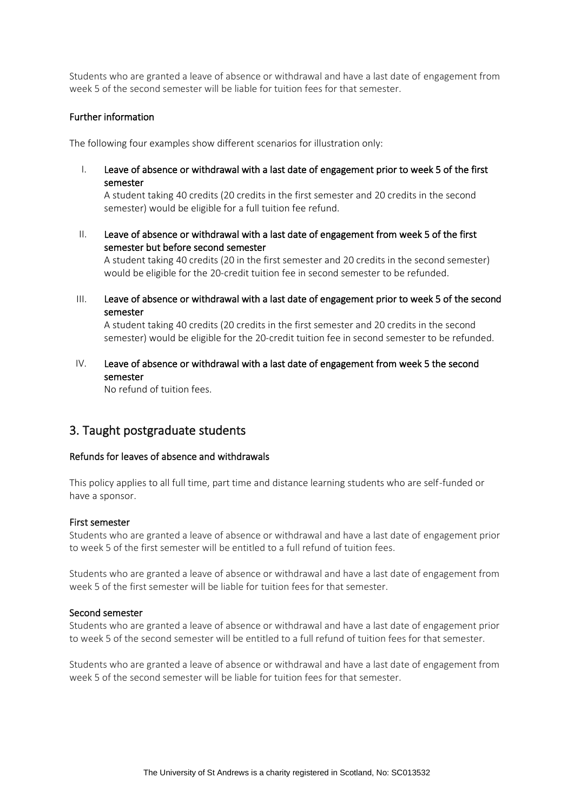Students who are granted a leave of absence or withdrawal and have a last date of engagement from week 5 of the second semester will be liable for tuition fees for that semester.

#### Further information

The following four examples show different scenarios for illustration only:

I. Leave of absence or withdrawal with a last date of engagement prior to week 5 of the first semester

A student taking 40 credits (20 credits in the first semester and 20 credits in the second semester) would be eligible for a full tuition fee refund.

II. Leave of absence or withdrawal with a last date of engagement from week 5 of the first semester but before second semester

A student taking 40 credits (20 in the first semester and 20 credits in the second semester) would be eligible for the 20-credit tuition fee in second semester to be refunded.

III. Leave of absence or withdrawal with a last date of engagement prior to week 5 of the second semester

A student taking 40 credits (20 credits in the first semester and 20 credits in the second semester) would be eligible for the 20-credit tuition fee in second semester to be refunded.

## IV. Leave of absence or withdrawal with a last date of engagement from week 5 the second semester

No refund of tuition fees.

# 3. Taught postgraduate students

#### Refunds for leaves of absence and withdrawals

This policy applies to all full time, part time and distance learning students who are self-funded or have a sponsor.

#### First semester

Students who are granted a leave of absence or withdrawal and have a last date of engagement prior to week 5 of the first semester will be entitled to a full refund of tuition fees.

Students who are granted a leave of absence or withdrawal and have a last date of engagement from week 5 of the first semester will be liable for tuition fees for that semester.

#### Second semester

Students who are granted a leave of absence or withdrawal and have a last date of engagement prior to week 5 of the second semester will be entitled to a full refund of tuition fees for that semester.

Students who are granted a leave of absence or withdrawal and have a last date of engagement from week 5 of the second semester will be liable for tuition fees for that semester.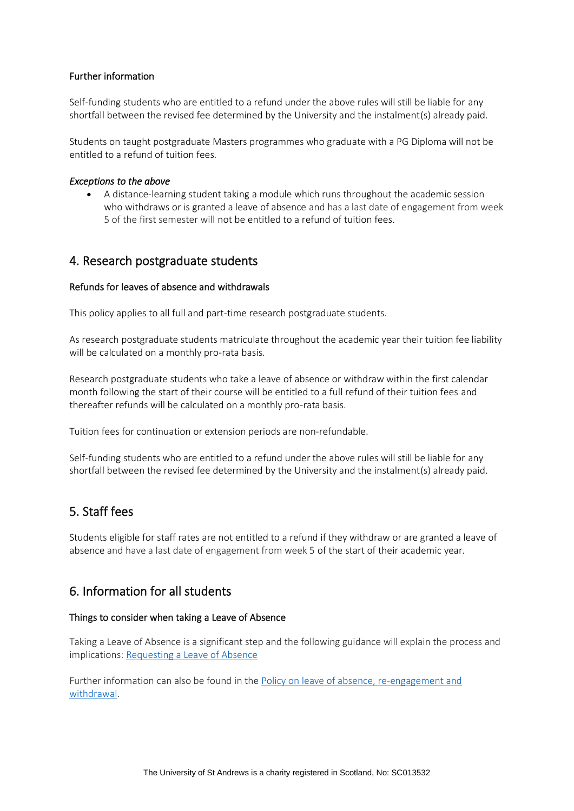## Further information

Self-funding students who are entitled to a refund under the above rules will still be liable for any shortfall between the revised fee determined by the University and the instalment(s) already paid.

Students on taught postgraduate Masters programmes who graduate with a PG Diploma will not be entitled to a refund of tuition fees.

#### *Exceptions to the above*

• A distance-learning student taking a module which runs throughout the academic session who withdraws or is granted a leave of absence and has a last date of engagement from week 5 of the first semester will not be entitled to a refund of tuition fees.

# 4. Research postgraduate students

#### Refunds for leaves of absence and withdrawals

This policy applies to all full and part-time research postgraduate students.

As research postgraduate students matriculate throughout the academic year their tuition fee liability will be calculated on a monthly pro-rata basis.

Research postgraduate students who take a leave of absence or withdraw within the first calendar month following the start of their course will be entitled to a full refund of their tuition fees and thereafter refunds will be calculated on a monthly pro-rata basis.

Tuition fees for continuation or extension periods are non-refundable.

Self-funding students who are entitled to a refund under the above rules will still be liable for any shortfall between the revised fee determined by the University and the instalment(s) already paid.

# 5. Staff fees

Students eligible for staff rates are not entitled to a refund if they withdraw or are granted a leave of absence and have a last date of engagement from week 5 of the start of their academic year.

# 6. Information for all students

#### Things to consider when taking a Leave of Absence

Taking a Leave of Absence is a significant step and the following guidance will explain the process and implications: [Requesting a Leave of Absence](https://www.st-andrews.ac.uk/students/advice/academic/loa/thingstoconsider/)

Further information can also be found in th[e Policy on leave of absence, re-engagement and](https://www.st-andrews.ac.uk/policy/academic-policies-student-progression-leave-of-absence-re-engagement-and-withdrawal/leave-of-absence.pdf)  [withdrawal.](https://www.st-andrews.ac.uk/policy/academic-policies-student-progression-leave-of-absence-re-engagement-and-withdrawal/leave-of-absence.pdf)